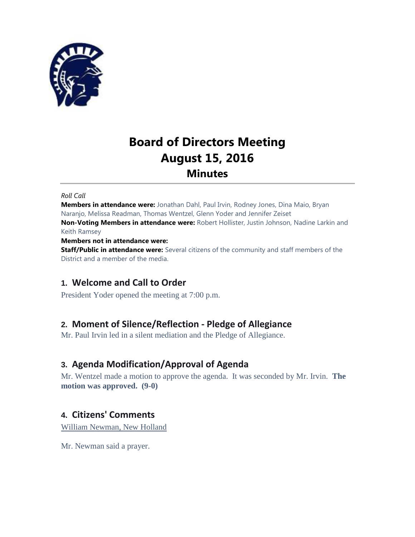

# **Board of Directors Meeting August 15, 2016 Minutes**

#### *Roll Call*

**Members in attendance were:** Jonathan Dahl, Paul Irvin, Rodney Jones, Dina Maio, Bryan Naranjo, Melissa Readman, Thomas Wentzel, Glenn Yoder and Jennifer Zeiset **Non-Voting Members in attendance were:** Robert Hollister, Justin Johnson, Nadine Larkin and Keith Ramsey

#### **Members not in attendance were:**

**Staff/Public in attendance were:** Several citizens of the community and staff members of the District and a member of the media.

# **1. Welcome and Call to Order**

President Yoder opened the meeting at 7:00 p.m.

# **2. Moment of Silence/Reflection - Pledge of Allegiance**

Mr. Paul Irvin led in a silent mediation and the Pledge of Allegiance.

# **3. Agenda Modification/Approval of Agenda**

Mr. Wentzel made a motion to approve the agenda. It was seconded by Mr. Irvin. **The motion was approved. (9-0)**

# **4. Citizens' Comments**

William Newman, New Holland

Mr. Newman said a prayer.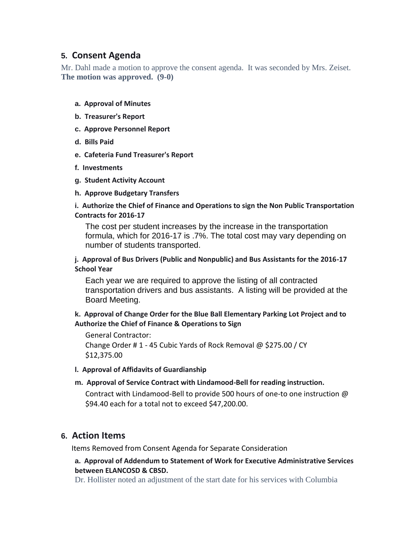# **5. Consent Agenda**

Mr. Dahl made a motion to approve the consent agenda. It was seconded by Mrs. Zeiset. **The motion was approved. (9-0)**

#### **a. Approval of Minutes**

- **b. Treasurer's Report**
- **c. Approve Personnel Report**
- **d. Bills Paid**
- **e. Cafeteria Fund Treasurer's Report**
- **f. Investments**
- **g. Student Activity Account**
- **h. Approve Budgetary Transfers**

#### **i. Authorize the Chief of Finance and Operations to sign the Non Public Transportation Contracts for 2016-17**

The cost per student increases by the increase in the transportation formula, which for 2016-17 is .7%. The total cost may vary depending on number of students transported.

#### **j. Approval of Bus Drivers (Public and Nonpublic) and Bus Assistants for the 2016-17 School Year**

Each year we are required to approve the listing of all contracted transportation drivers and bus assistants. A listing will be provided at the Board Meeting.

#### **k. Approval of Change Order for the Blue Ball Elementary Parking Lot Project and to Authorize the Chief of Finance & Operations to Sign**

#### General Contractor:

Change Order # 1 - 45 Cubic Yards of Rock Removal @ \$275.00 / CY \$12,375.00

#### **l. Approval of Affidavits of Guardianship**

#### **m. Approval of Service Contract with Lindamood-Bell for reading instruction.**

Contract with Lindamood-Bell to provide 500 hours of one-to one instruction @ \$94.40 each for a total not to exceed \$47,200.00.

# **6. Action Items**

Items Removed from Consent Agenda for Separate Consideration

#### **a. Approval of Addendum to Statement of Work for Executive Administrative Services between ELANCOSD & CBSD.**

Dr. Hollister noted an adjustment of the start date for his services with Columbia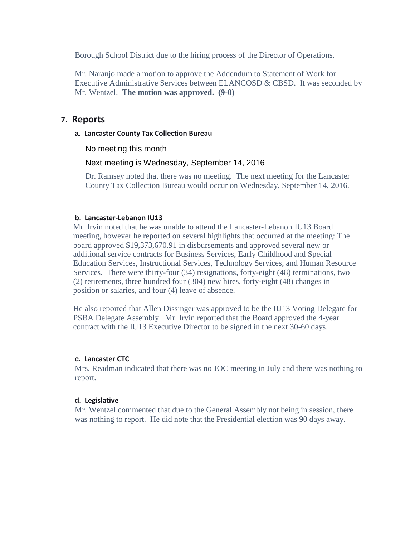Borough School District due to the hiring process of the Director of Operations.

Mr. Naranjo made a motion to approve the Addendum to Statement of Work for Executive Administrative Services between ELANCOSD & CBSD. It was seconded by Mr. Wentzel. **The motion was approved. (9-0)**

#### **7. Reports**

**a. Lancaster County Tax Collection Bureau**

No meeting this month

#### Next meeting is Wednesday, September 14, 2016

Dr. Ramsey noted that there was no meeting. The next meeting for the Lancaster County Tax Collection Bureau would occur on Wednesday, September 14, 2016.

#### **b. Lancaster-Lebanon IU13**

Mr. Irvin noted that he was unable to attend the Lancaster-Lebanon IU13 Board meeting, however he reported on several highlights that occurred at the meeting: The board approved \$19,373,670.91 in disbursements and approved several new or additional service contracts for Business Services, Early Childhood and Special Education Services, Instructional Services, Technology Services, and Human Resource Services. There were thirty-four (34) resignations, forty-eight (48) terminations, two (2) retirements, three hundred four (304) new hires, forty-eight (48) changes in position or salaries, and four (4) leave of absence.

He also reported that Allen Dissinger was approved to be the IU13 Voting Delegate for PSBA Delegate Assembly. Mr. Irvin reported that the Board approved the 4-year contract with the IU13 Executive Director to be signed in the next 30-60 days.

#### **c. Lancaster CTC**

Mrs. Readman indicated that there was no JOC meeting in July and there was nothing to report.

#### **d. Legislative**

Mr. Wentzel commented that due to the General Assembly not being in session, there was nothing to report. He did note that the Presidential election was 90 days away.